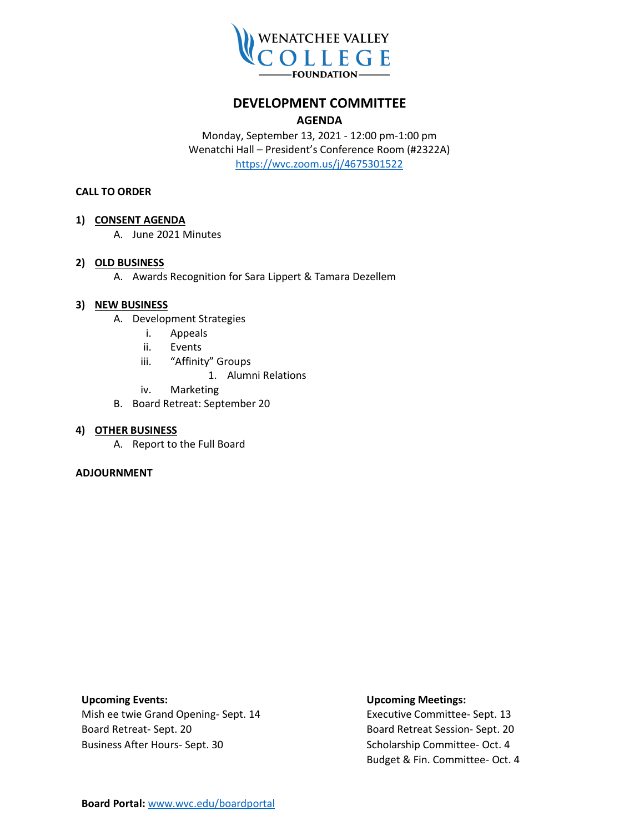

## **DEVELOPMENT COMMITTEE**

### **AGENDA**

Monday, September 13, 2021 - 12:00 pm-1:00 pm Wenatchi Hall – President's Conference Room (#2322A) <https://wvc.zoom.us/j/4675301522>

### **CALL TO ORDER**

### **1) CONSENT AGENDA**

A. June 2021 Minutes

### **2) OLD BUSINESS**

A. Awards Recognition for Sara Lippert & Tamara Dezellem

### **3) NEW BUSINESS**

- A. Development Strategies
	- i. Appeals
	- ii. Events
	- iii. "Affinity" Groups
		- 1. Alumni Relations
	- iv. Marketing
- B. Board Retreat: September 20

#### **4) OTHER BUSINESS**

A. Report to the Full Board

#### **ADJOURNMENT**

Mish ee twie Grand Opening- Sept. 14 Executive Committee- Sept. 13 Board Retreat- Sept. 20 **Board Retreat Session- Sept. 20** Board Retreat Session- Sept. 20 Business After Hours- Sept. 30 Scholarship Committee- Oct. 4

### **Upcoming Events: Upcoming Meetings:**

Budget & Fin. Committee- Oct. 4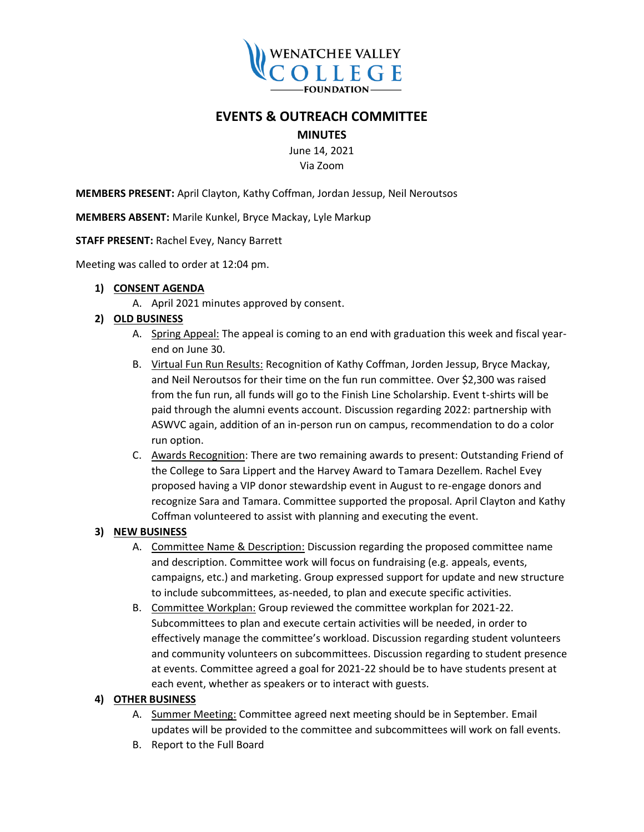

# **EVENTS & OUTREACH COMMITTEE**

**MINUTES**

June 14, 2021 Via Zoom

**MEMBERS PRESENT:** April Clayton, Kathy Coffman, Jordan Jessup, Neil Neroutsos

**MEMBERS ABSENT:** Marile Kunkel, Bryce Mackay, Lyle Markup

**STAFF PRESENT:** Rachel Evey, Nancy Barrett

Meeting was called to order at 12:04 pm.

### **1) CONSENT AGENDA**

A. April 2021 minutes approved by consent.

## **2) OLD BUSINESS**

- A. Spring Appeal: The appeal is coming to an end with graduation this week and fiscal yearend on June 30.
- B. Virtual Fun Run Results: Recognition of Kathy Coffman, Jorden Jessup, Bryce Mackay, and Neil Neroutsos for their time on the fun run committee. Over \$2,300 was raised from the fun run, all funds will go to the Finish Line Scholarship. Event t-shirts will be paid through the alumni events account. Discussion regarding 2022: partnership with ASWVC again, addition of an in-person run on campus, recommendation to do a color run option.
- C. Awards Recognition: There are two remaining awards to present: Outstanding Friend of the College to Sara Lippert and the Harvey Award to Tamara Dezellem. Rachel Evey proposed having a VIP donor stewardship event in August to re-engage donors and recognize Sara and Tamara. Committee supported the proposal. April Clayton and Kathy Coffman volunteered to assist with planning and executing the event.

## **3) NEW BUSINESS**

- A. Committee Name & Description: Discussion regarding the proposed committee name and description. Committee work will focus on fundraising (e.g. appeals, events, campaigns, etc.) and marketing. Group expressed support for update and new structure to include subcommittees, as-needed, to plan and execute specific activities.
- B. Committee Workplan: Group reviewed the committee workplan for 2021-22. Subcommittees to plan and execute certain activities will be needed, in order to effectively manage the committee's workload. Discussion regarding student volunteers and community volunteers on subcommittees. Discussion regarding to student presence at events. Committee agreed a goal for 2021-22 should be to have students present at each event, whether as speakers or to interact with guests.

## **4) OTHER BUSINESS**

- A. Summer Meeting: Committee agreed next meeting should be in September. Email updates will be provided to the committee and subcommittees will work on fall events.
- B. Report to the Full Board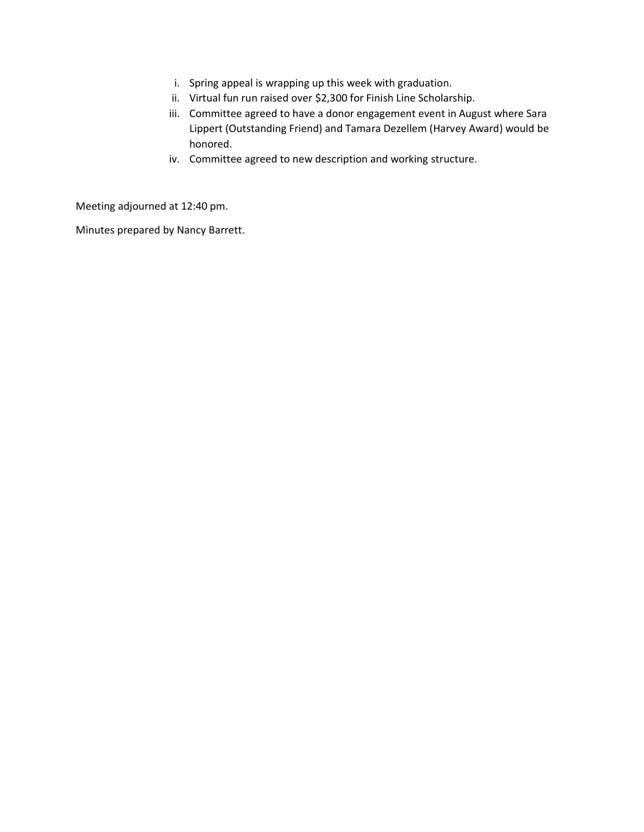- i. Spring appeal is wrapping up this week with graduation.
- ii. Virtual fun run raised over \$2,300 for Finish Line Scholarship.
- iii. Committee agreed to have a donor engagement event in August where Sara Lippert (Outstanding Friend) and Tamara Dezellem (Harvey Award) would be honored.
- iv. Committee agreed to new description and working structure.

Meeting adjourned at 12:40 pm.

Minutes prepared by Nancy Barrett.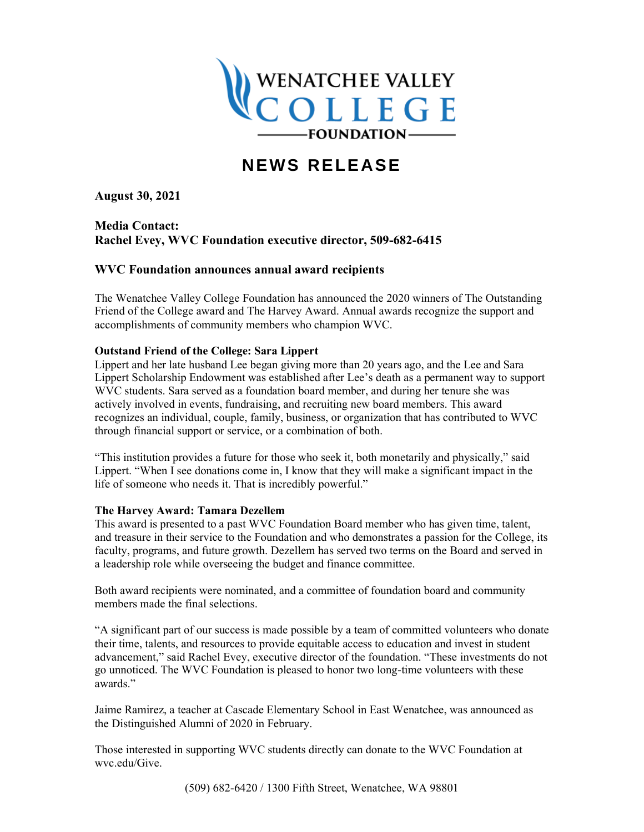

# **NEWS RELEASE**

**August 30, 2021**

**Media Contact: Rachel Evey, WVC Foundation executive director, 509-682-6415**

## **WVC Foundation announces annual award recipients**

The Wenatchee Valley College Foundation has announced the 2020 winners of The Outstanding Friend of the College award and The Harvey Award. Annual awards recognize the support and accomplishments of community members who champion WVC.

### **Outstand Friend of the College: Sara Lippert**

Lippert and her late husband Lee began giving more than 20 years ago, and the Lee and Sara Lippert Scholarship Endowment was established after Lee's death as a permanent way to support WVC students. Sara served as a foundation board member, and during her tenure she was actively involved in events, fundraising, and recruiting new board members. This award recognizes an individual, couple, family, business, or organization that has contributed to WVC through financial support or service, or a combination of both.

"This institution provides a future for those who seek it, both monetarily and physically," said Lippert. "When I see donations come in, I know that they will make a significant impact in the life of someone who needs it. That is incredibly powerful."

### **The Harvey Award: Tamara Dezellem**

This award is presented to a past WVC Foundation Board member who has given time, talent, and treasure in their service to the Foundation and who demonstrates a passion for the College, its faculty, programs, and future growth. Dezellem has served two terms on the Board and served in a leadership role while overseeing the budget and finance committee.

Both award recipients were nominated, and a committee of foundation board and community members made the final selections.

"A significant part of our success is made possible by a team of committed volunteers who donate their time, talents, and resources to provide equitable access to education and invest in student advancement," said Rachel Evey, executive director of the foundation. "These investments do not go unnoticed. The WVC Foundation is pleased to honor two long-time volunteers with these awards."

Jaime Ramirez, a teacher at Cascade Elementary School in East Wenatchee, was announced as the Distinguished Alumni of 2020 in February.

Those interested in supporting WVC students directly can donate to the WVC Foundation at wvc.edu/Give.

(509) 682-6420 / 1300 Fifth Street, Wenatchee, WA 98801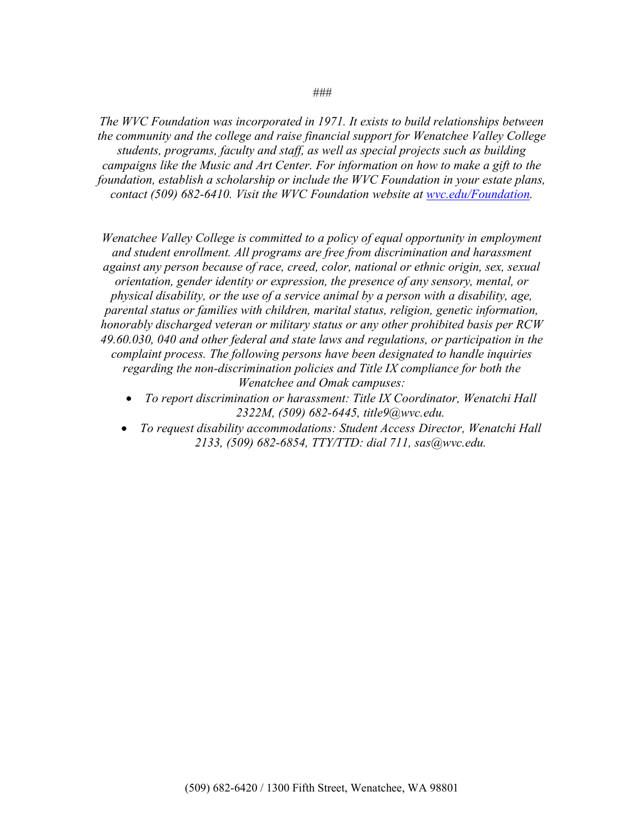*The WVC Foundation was incorporated in 1971. It exists to build relationships between the community and the college and raise financial support for Wenatchee Valley College students, programs, faculty and staff, as well as special projects such as building campaigns like the Music and Art Center. For information on how to make a gift to the foundation, establish a scholarship or include the WVC Foundation in your estate plans, contact (509) 682-6410. Visit the WVC Foundation website at [wvc.edu/Foundation.](http://www.wvc.edu/foundation)*

*Wenatchee Valley College is committed to a policy of equal opportunity in employment and student enrollment. All programs are free from discrimination and harassment against any person because of race, creed, color, national or ethnic origin, sex, sexual orientation, gender identity or expression, the presence of any sensory, mental, or physical disability, or the use of a service animal by a person with a disability, age, parental status or families with children, marital status, religion, genetic information, honorably discharged veteran or military status or any other prohibited basis per RCW 49.60.030, 040 and other federal and state laws and regulations, or participation in the complaint process. The following persons have been designated to handle inquiries regarding the non-discrimination policies and Title IX compliance for both the Wenatchee and Omak campuses:*

- *To report discrimination or harassment: Title IX Coordinator, Wenatchi Hall 2322M, (509) 682-6445, title9@wvc.edu.*
- *To request disability accommodations: Student Access Director, Wenatchi Hall 2133, (509) 682-6854, TTY/TTD: dial 711, sas@wvc.edu.*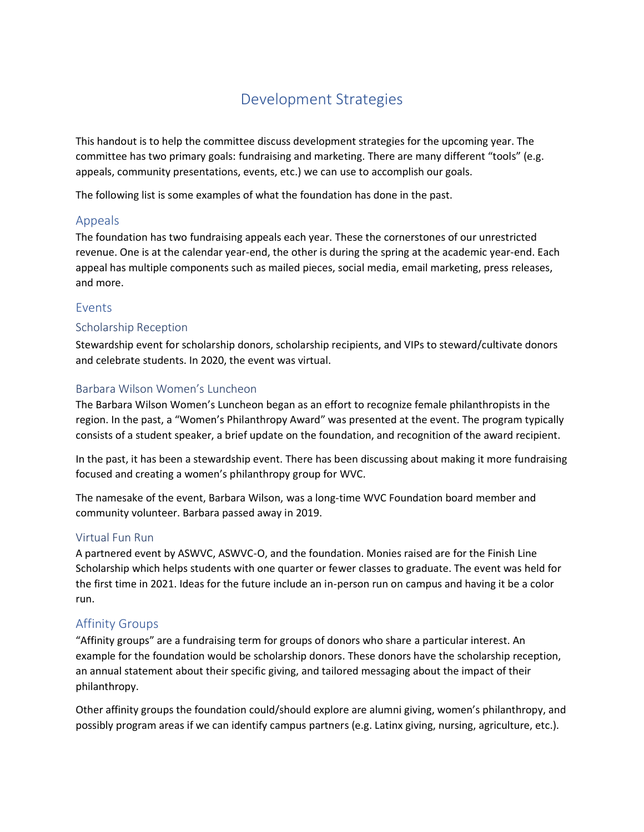# Development Strategies

This handout is to help the committee discuss development strategies for the upcoming year. The committee has two primary goals: fundraising and marketing. There are many different "tools" (e.g. appeals, community presentations, events, etc.) we can use to accomplish our goals.

The following list is some examples of what the foundation has done in the past.

## Appeals

The foundation has two fundraising appeals each year. These the cornerstones of our unrestricted revenue. One is at the calendar year-end, the other is during the spring at the academic year-end. Each appeal has multiple components such as mailed pieces, social media, email marketing, press releases, and more.

## Events

## Scholarship Reception

Stewardship event for scholarship donors, scholarship recipients, and VIPs to steward/cultivate donors and celebrate students. In 2020, the event was virtual.

## Barbara Wilson Women's Luncheon

The Barbara Wilson Women's Luncheon began as an effort to recognize female philanthropists in the region. In the past, a "Women's Philanthropy Award" was presented at the event. The program typically consists of a student speaker, a brief update on the foundation, and recognition of the award recipient.

In the past, it has been a stewardship event. There has been discussing about making it more fundraising focused and creating a women's philanthropy group for WVC.

The namesake of the event, Barbara Wilson, was a long-time WVC Foundation board member and community volunteer. Barbara passed away in 2019.

## Virtual Fun Run

A partnered event by ASWVC, ASWVC-O, and the foundation. Monies raised are for the Finish Line Scholarship which helps students with one quarter or fewer classes to graduate. The event was held for the first time in 2021. Ideas for the future include an in-person run on campus and having it be a color run.

## Affinity Groups

"Affinity groups" are a fundraising term for groups of donors who share a particular interest. An example for the foundation would be scholarship donors. These donors have the scholarship reception, an annual statement about their specific giving, and tailored messaging about the impact of their philanthropy.

Other affinity groups the foundation could/should explore are alumni giving, women's philanthropy, and possibly program areas if we can identify campus partners (e.g. Latinx giving, nursing, agriculture, etc.).